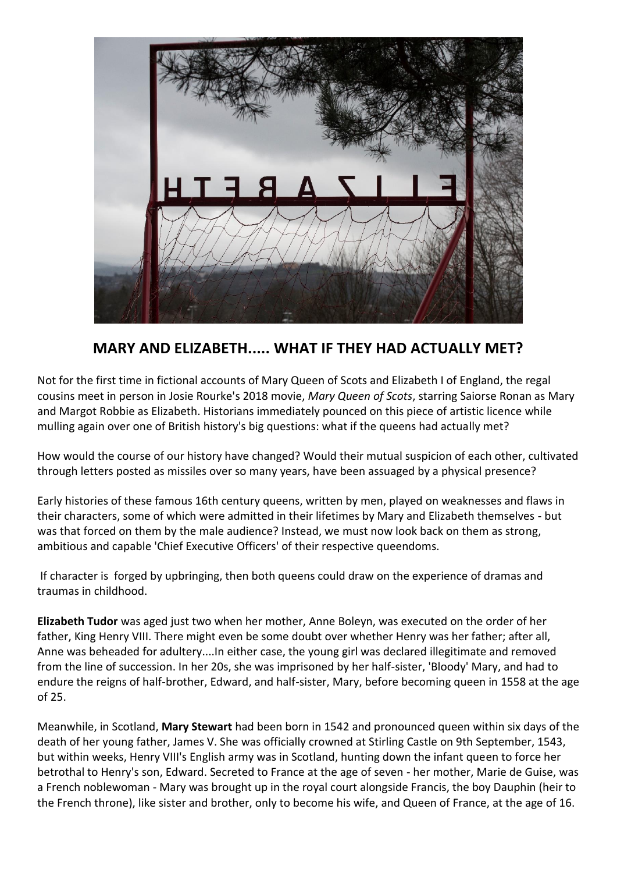

## **MARY AND ELIZABETH..... WHAT IF THEY HAD ACTUALLY MET?**

Not for the first time in fictional accounts of Mary Queen of Scots and Elizabeth I of England, the regal cousins meet in person in Josie Rourke's 2018 movie, *Mary Queen of Scots*, starring Saiorse Ronan as Mary and Margot Robbie as Elizabeth. Historians immediately pounced on this piece of artistic licence while mulling again over one of British history's big questions: what if the queens had actually met?

How would the course of our history have changed? Would their mutual suspicion of each other, cultivated through letters posted as missiles over so many years, have been assuaged by a physical presence?

Early histories of these famous 16th century queens, written by men, played on weaknesses and flaws in their characters, some of which were admitted in their lifetimes by Mary and Elizabeth themselves - but was that forced on them by the male audience? Instead, we must now look back on them as strong, ambitious and capable 'Chief Executive Officers' of their respective queendoms.

If character is forged by upbringing, then both queens could draw on the experience of dramas and traumas in childhood.

**Elizabeth Tudor** was aged just two when her mother, Anne Boleyn, was executed on the order of her father, King Henry VIII. There might even be some doubt over whether Henry was her father; after all, Anne was beheaded for adultery....In either case, the young girl was declared illegitimate and removed from the line of succession. In her 20s, she was imprisoned by her half-sister, 'Bloody' Mary, and had to endure the reigns of half-brother, Edward, and half-sister, Mary, before becoming queen in 1558 at the age of 25.

Meanwhile, in Scotland, **Mary Stewart** had been born in 1542 and pronounced queen within six days of the death of her young father, James V. She was officially crowned at Stirling Castle on 9th September, 1543, but within weeks, Henry VIII's English army was in Scotland, hunting down the infant queen to force her betrothal to Henry's son, Edward. Secreted to France at the age of seven - her mother, Marie de Guise, was a French noblewoman - Mary was brought up in the royal court alongside Francis, the boy Dauphin (heir to the French throne), like sister and brother, only to become his wife, and Queen of France, at the age of 16.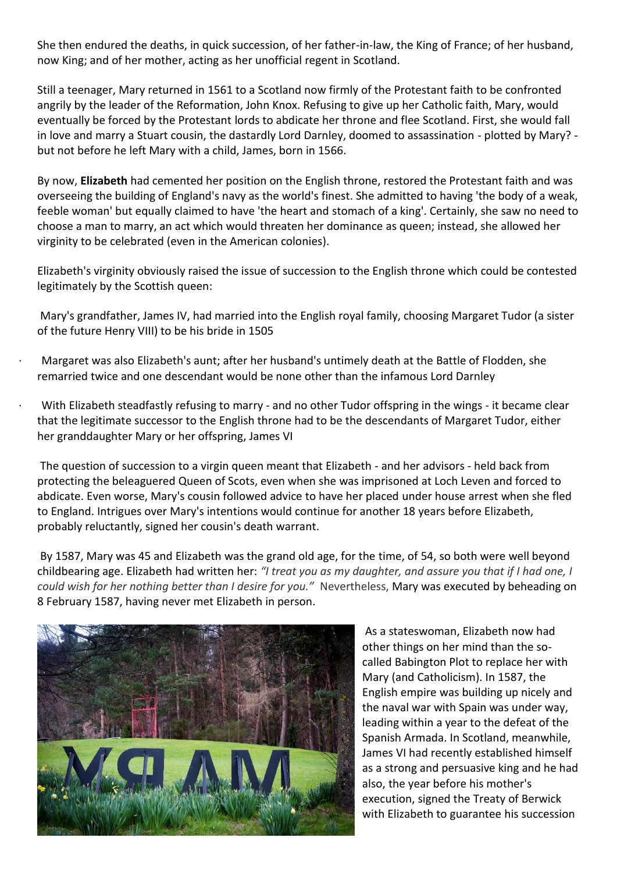She then endured the deaths, in quick succession, of her father-in-law, the King of France; of her husband, now King; and of her mother, acting as her unofficial regent in Scotland.

Still a teenager, Mary returned in 1561 to a Scotland now firmly of the Protestant faith to be confronted angrily by the leader of the Reformation, John Knox. Refusing to give up her Catholic faith, Mary, would eventually be forced by the Protestant lords to abdicate her throne and flee Scotland. First, she would fall in love and marry a Stuart cousin, the dastardly Lord Darnley, doomed to assassination - plotted by Mary? but not before he left Mary with a child, James, born in 1566.

By now, **Elizabeth** had cemented her position on the English throne, restored the Protestant faith and was overseeing the building of England's navy as the world's finest. She admitted to having 'the body of a weak, feeble woman' but equally claimed to have 'the heart and stomach of a king'. Certainly, she saw no need to choose a man to marry, an act which would threaten her dominance as queen; instead, she allowed her virginity to be celebrated (even in the American colonies).

Elizabeth's virginity obviously raised the issue of succession to the English throne which could be contested legitimately by the Scottish queen:

Mary's grandfather, James IV, had married into the English royal family, choosing Margaret Tudor (a sister of the future Henry VIII) to be his bride in 1505

· Margaret was also Elizabeth's aunt; after her husband's untimely death at the Battle of Flodden, she remarried twice and one descendant would be none other than the infamous Lord Darnley

With Elizabeth steadfastly refusing to marry - and no other Tudor offspring in the wings - it became clear that the legitimate successor to the English throne had to be the descendants of Margaret Tudor, either her granddaughter Mary or her offspring, James VI

The question of succession to a virgin queen meant that Elizabeth - and her advisors - held back from protecting the beleaguered Queen of Scots, even when she was imprisoned at Loch Leven and forced to abdicate. Even worse, Mary's cousin followed advice to have her placed under house arrest when she fled to England. Intrigues over Mary's intentions would continue for another 18 years before Elizabeth, probably reluctantly, signed her cousin's death warrant.

By 1587, Mary was 45 and Elizabeth was the grand old age, for the time, of 54, so both were well beyond childbearing age. Elizabeth had written her: *"I treat you as my daughter, and assure you that if I had one, I could wish for her nothing better than I desire for you."* Nevertheless, Mary was executed by beheading on 8 February 1587, having never met Elizabeth in person.



As a stateswoman, Elizabeth now had other things on her mind than the socalled Babington Plot to replace her with Mary (and Catholicism). In 1587, the English empire was building up nicely and the naval war with Spain was under way, leading within a year to the defeat of the Spanish Armada. In Scotland, meanwhile, James VI had recently established himself as a strong and persuasive king and he had also, the year before his mother's execution, signed the Treaty of Berwick with Elizabeth to guarantee his succession